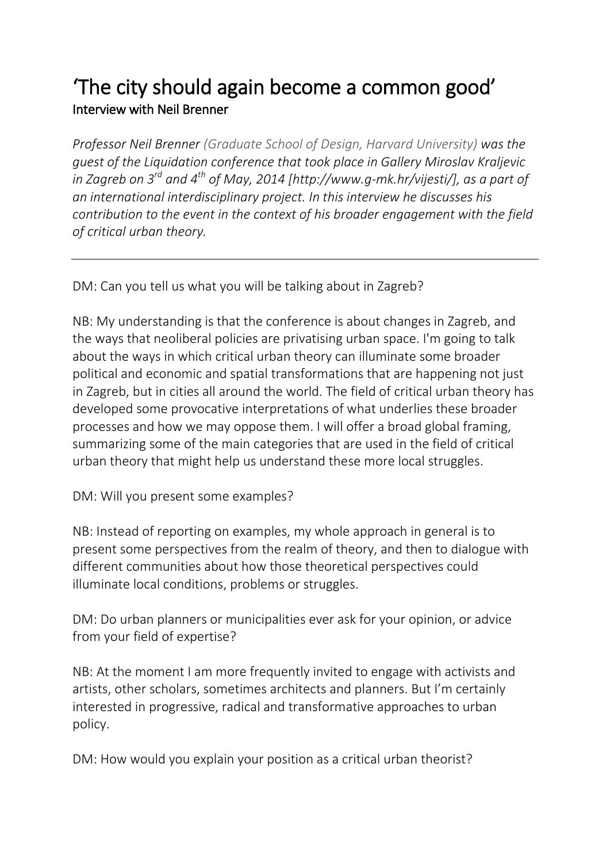## 'The city should again become a common good' Interview with Neil Brenner

*Professor Neil Brenner (Graduate School of Design, Harvard University) was the guest of the Liquidation conference that took place in Gallery Miroslav Kraljevic in Zagreb on 3 rd and 4th of May, 2014 [http://www.g-mk.hr/vijesti/], as a part of an international interdisciplinary project. In this interview he discusses his contribution to the event in the context of his broader engagement with the field of critical urban theory.*

DM: Can you tell us what you will be talking about in Zagreb?

NB: My understanding is that the conference is about changes in Zagreb, and the ways that neoliberal policies are privatising urban space. I'm going to talk about the ways in which critical urban theory can illuminate some broader political and economic and spatial transformations that are happening not just in Zagreb, but in cities all around the world. The field of critical urban theory has developed some provocative interpretations of what underlies these broader processes and how we may oppose them. I will offer a broad global framing, summarizing some of the main categories that are used in the field of critical urban theory that might help us understand these more local struggles.

DM: Will you present some examples?

NB: Instead of reporting on examples, my whole approach in general is to present some perspectives from the realm of theory, and then to dialogue with different communities about how those theoretical perspectives could illuminate local conditions, problems or struggles.

DM: Do urban planners or municipalities ever ask for your opinion, or advice from your field of expertise?

NB: At the moment I am more frequently invited to engage with activists and artists, other scholars, sometimes architects and planners. But I'm certainly interested in progressive, radical and transformative approaches to urban policy.

DM: How would you explain your position as a critical urban theorist?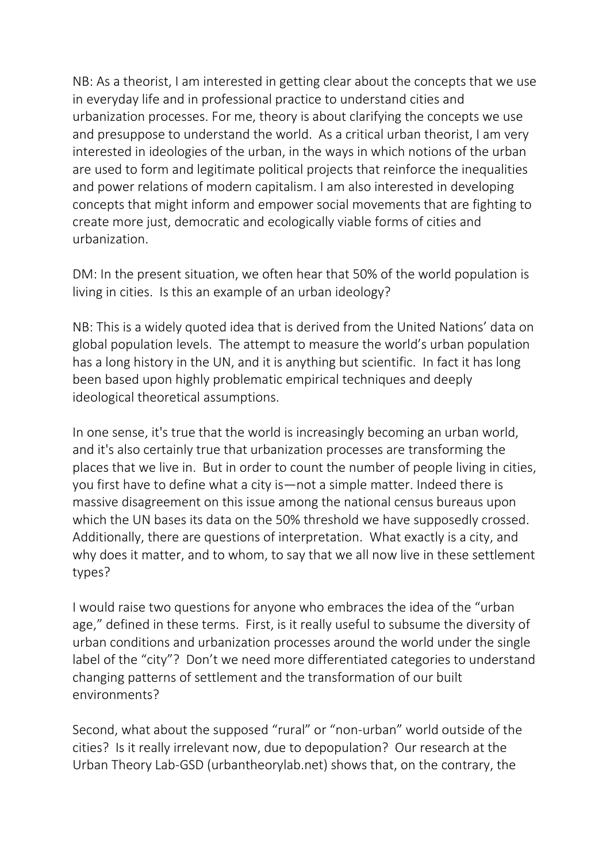NB: As a theorist, I am interested in getting clear about the concepts that we use in everyday life and in professional practice to understand cities and urbanization processes. For me, theory is about clarifying the concepts we use and presuppose to understand the world. As a critical urban theorist, I am very interested in ideologies of the urban, in the ways in which notions of the urban are used to form and legitimate political projects that reinforce the inequalities and power relations of modern capitalism. I am also interested in developing concepts that might inform and empower social movements that are fighting to create more just, democratic and ecologically viable forms of cities and urbanization.

DM: In the present situation, we often hear that 50% of the world population is living in cities. Is this an example of an urban ideology?

NB: This is a widely quoted idea that is derived from the United Nations' data on global population levels. The attempt to measure the world's urban population has a long history in the UN, and it is anything but scientific. In fact it has long been based upon highly problematic empirical techniques and deeply ideological theoretical assumptions.

In one sense, it's true that the world is increasingly becoming an urban world, and it's also certainly true that urbanization processes are transforming the places that we live in. But in order to count the number of people living in cities, you first have to define what a city is—not a simple matter. Indeed there is massive disagreement on this issue among the national census bureaus upon which the UN bases its data on the 50% threshold we have supposedly crossed. Additionally, there are questions of interpretation. What exactly is a city, and why does it matter, and to whom, to say that we all now live in these settlement types?

I would raise two questions for anyone who embraces the idea of the "urban age," defined in these terms. First, is it really useful to subsume the diversity of urban conditions and urbanization processes around the world under the single label of the "city"? Don't we need more differentiated categories to understand changing patterns of settlement and the transformation of our built environments?

Second, what about the supposed "rural" or "non-urban" world outside of the cities? Is it really irrelevant now, due to depopulation? Our research at the Urban Theory Lab-GSD (urbantheorylab.net) shows that, on the contrary, the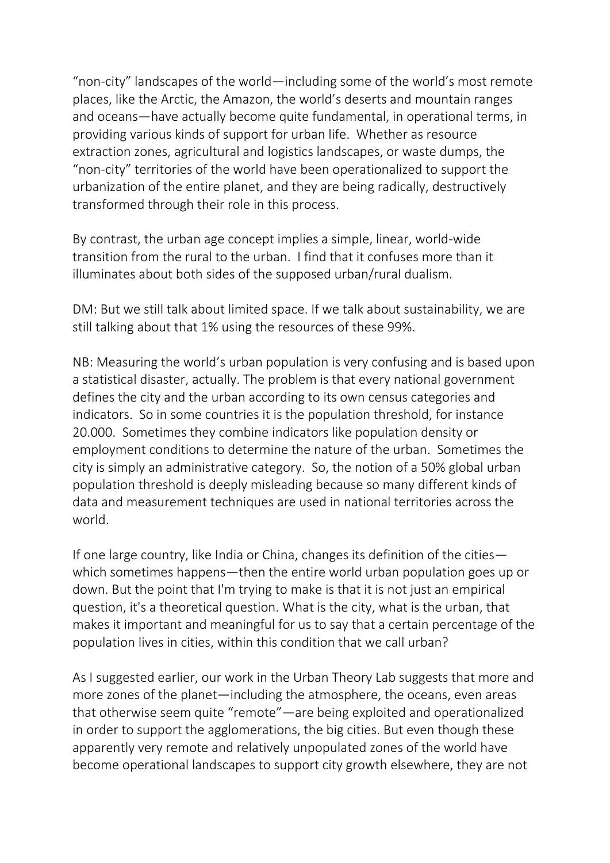"non-city" landscapes of the world—including some of the world's most remote places, like the Arctic, the Amazon, the world's deserts and mountain ranges and oceans—have actually become quite fundamental, in operational terms, in providing various kinds of support for urban life. Whether as resource extraction zones, agricultural and logistics landscapes, or waste dumps, the "non-city" territories of the world have been operationalized to support the urbanization of the entire planet, and they are being radically, destructively transformed through their role in this process.

By contrast, the urban age concept implies a simple, linear, world-wide transition from the rural to the urban. I find that it confuses more than it illuminates about both sides of the supposed urban/rural dualism.

DM: But we still talk about limited space. If we talk about sustainability, we are still talking about that 1% using the resources of these 99%.

NB: Measuring the world's urban population is very confusing and is based upon a statistical disaster, actually. The problem is that every national government defines the city and the urban according to its own census categories and indicators. So in some countries it is the population threshold, for instance 20.000. Sometimes they combine indicators like population density or employment conditions to determine the nature of the urban. Sometimes the city is simply an administrative category. So, the notion of a 50% global urban population threshold is deeply misleading because so many different kinds of data and measurement techniques are used in national territories across the world.

If one large country, like India or China, changes its definition of the cities which sometimes happens—then the entire world urban population goes up or down. But the point that I'm trying to make is that it is not just an empirical question, it's a theoretical question. What is the city, what is the urban, that makes it important and meaningful for us to say that a certain percentage of the population lives in cities, within this condition that we call urban?

As I suggested earlier, our work in the Urban Theory Lab suggests that more and more zones of the planet—including the atmosphere, the oceans, even areas that otherwise seem quite "remote"—are being exploited and operationalized in order to support the agglomerations, the big cities. But even though these apparently very remote and relatively unpopulated zones of the world have become operational landscapes to support city growth elsewhere, they are not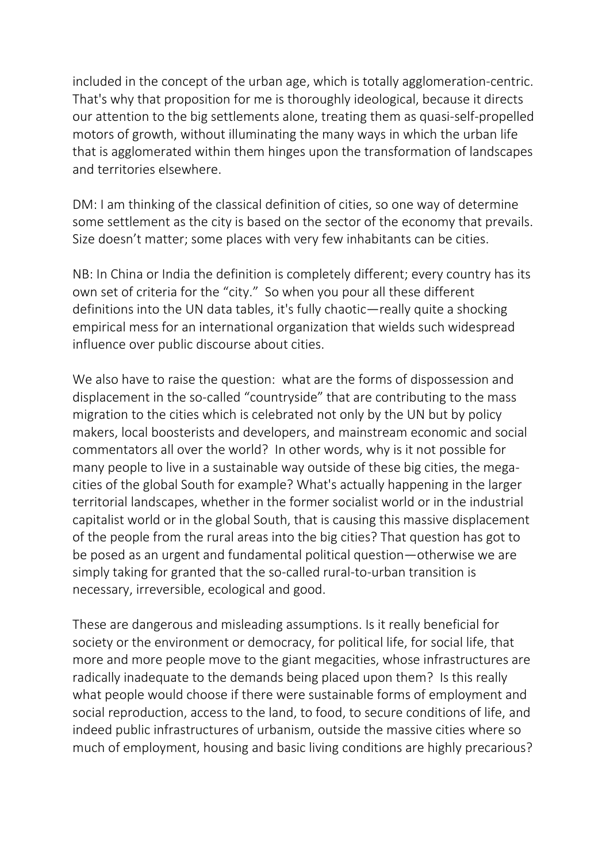included in the concept of the urban age, which is totally agglomeration-centric. That's why that proposition for me is thoroughly ideological, because it directs our attention to the big settlements alone, treating them as quasi-self-propelled motors of growth, without illuminating the many ways in which the urban life that is agglomerated within them hinges upon the transformation of landscapes and territories elsewhere.

DM: I am thinking of the classical definition of cities, so one way of determine some settlement as the city is based on the sector of the economy that prevails. Size doesn't matter; some places with very few inhabitants can be cities.

NB: In China or India the definition is completely different; every country has its own set of criteria for the "city." So when you pour all these different definitions into the UN data tables, it's fully chaotic—really quite a shocking empirical mess for an international organization that wields such widespread influence over public discourse about cities.

We also have to raise the question: what are the forms of dispossession and displacement in the so-called "countryside" that are contributing to the mass migration to the cities which is celebrated not only by the UN but by policy makers, local boosterists and developers, and mainstream economic and social commentators all over the world? In other words, why is it not possible for many people to live in a sustainable way outside of these big cities, the megacities of the global South for example? What's actually happening in the larger territorial landscapes, whether in the former socialist world or in the industrial capitalist world or in the global South, that is causing this massive displacement of the people from the rural areas into the big cities? That question has got to be posed as an urgent and fundamental political question—otherwise we are simply taking for granted that the so-called rural-to-urban transition is necessary, irreversible, ecological and good.

These are dangerous and misleading assumptions. Is it really beneficial for society or the environment or democracy, for political life, for social life, that more and more people move to the giant megacities, whose infrastructures are radically inadequate to the demands being placed upon them? Is this really what people would choose if there were sustainable forms of employment and social reproduction, access to the land, to food, to secure conditions of life, and indeed public infrastructures of urbanism, outside the massive cities where so much of employment, housing and basic living conditions are highly precarious?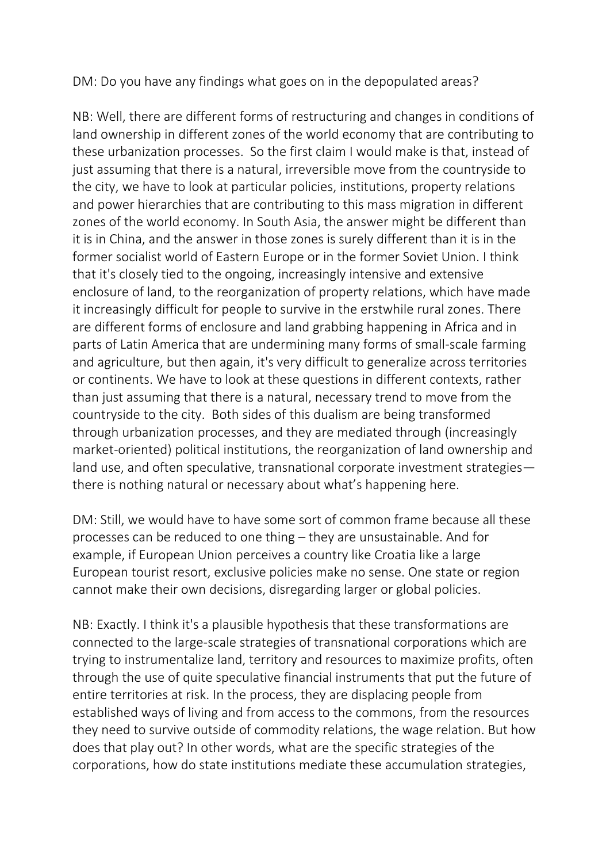DM: Do you have any findings what goes on in the depopulated areas?

NB: Well, there are different forms of restructuring and changes in conditions of land ownership in different zones of the world economy that are contributing to these urbanization processes. So the first claim I would make is that, instead of just assuming that there is a natural, irreversible move from the countryside to the city, we have to look at particular policies, institutions, property relations and power hierarchies that are contributing to this mass migration in different zones of the world economy. In South Asia, the answer might be different than it is in China, and the answer in those zones is surely different than it is in the former socialist world of Eastern Europe or in the former Soviet Union. I think that it's closely tied to the ongoing, increasingly intensive and extensive enclosure of land, to the reorganization of property relations, which have made it increasingly difficult for people to survive in the erstwhile rural zones. There are different forms of enclosure and land grabbing happening in Africa and in parts of Latin America that are undermining many forms of small-scale farming and agriculture, but then again, it's very difficult to generalize across territories or continents. We have to look at these questions in different contexts, rather than just assuming that there is a natural, necessary trend to move from the countryside to the city. Both sides of this dualism are being transformed through urbanization processes, and they are mediated through (increasingly market-oriented) political institutions, the reorganization of land ownership and land use, and often speculative, transnational corporate investment strategies there is nothing natural or necessary about what's happening here.

DM: Still, we would have to have some sort of common frame because all these processes can be reduced to one thing – they are unsustainable. And for example, if European Union perceives a country like Croatia like a large European tourist resort, exclusive policies make no sense. One state or region cannot make their own decisions, disregarding larger or global policies.

NB: Exactly. I think it's a plausible hypothesis that these transformations are connected to the large-scale strategies of transnational corporations which are trying to instrumentalize land, territory and resources to maximize profits, often through the use of quite speculative financial instruments that put the future of entire territories at risk. In the process, they are displacing people from established ways of living and from access to the commons, from the resources they need to survive outside of commodity relations, the wage relation. But how does that play out? In other words, what are the specific strategies of the corporations, how do state institutions mediate these accumulation strategies,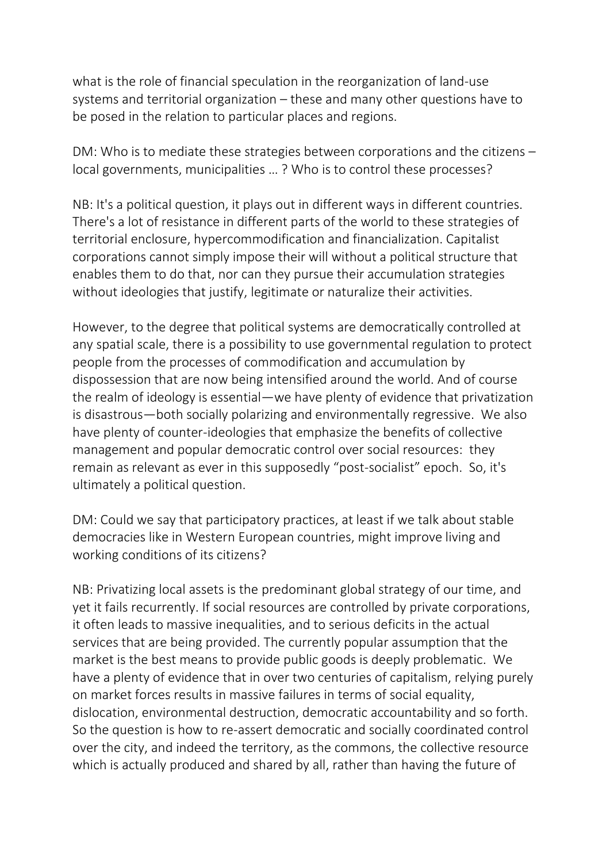what is the role of financial speculation in the reorganization of land-use systems and territorial organization – these and many other questions have to be posed in the relation to particular places and regions.

DM: Who is to mediate these strategies between corporations and the citizens – local governments, municipalities … ? Who is to control these processes?

NB: It's a political question, it plays out in different ways in different countries. There's a lot of resistance in different parts of the world to these strategies of territorial enclosure, hypercommodification and financialization. Capitalist corporations cannot simply impose their will without a political structure that enables them to do that, nor can they pursue their accumulation strategies without ideologies that justify, legitimate or naturalize their activities.

However, to the degree that political systems are democratically controlled at any spatial scale, there is a possibility to use governmental regulation to protect people from the processes of commodification and accumulation by dispossession that are now being intensified around the world. And of course the realm of ideology is essential—we have plenty of evidence that privatization is disastrous—both socially polarizing and environmentally regressive. We also have plenty of counter-ideologies that emphasize the benefits of collective management and popular democratic control over social resources: they remain as relevant as ever in this supposedly "post-socialist" epoch. So, it's ultimately a political question.

DM: Could we say that participatory practices, at least if we talk about stable democracies like in Western European countries, might improve living and working conditions of its citizens?

NB: Privatizing local assets is the predominant global strategy of our time, and yet it fails recurrently. If social resources are controlled by private corporations, it often leads to massive inequalities, and to serious deficits in the actual services that are being provided. The currently popular assumption that the market is the best means to provide public goods is deeply problematic. We have a plenty of evidence that in over two centuries of capitalism, relying purely on market forces results in massive failures in terms of social equality, dislocation, environmental destruction, democratic accountability and so forth. So the question is how to re-assert democratic and socially coordinated control over the city, and indeed the territory, as the commons, the collective resource which is actually produced and shared by all, rather than having the future of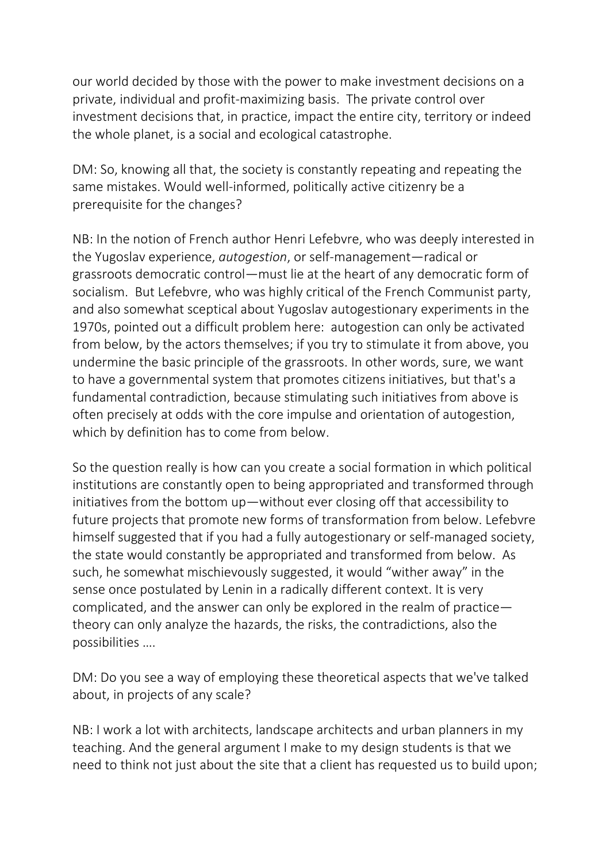our world decided by those with the power to make investment decisions on a private, individual and profit-maximizing basis. The private control over investment decisions that, in practice, impact the entire city, territory or indeed the whole planet, is a social and ecological catastrophe.

DM: So, knowing all that, the society is constantly repeating and repeating the same mistakes. Would well-informed, politically active citizenry be a prerequisite for the changes?

NB: In the notion of French author Henri Lefebvre, who was deeply interested in the Yugoslav experience, *autogestion*, or self-management—radical or grassroots democratic control—must lie at the heart of any democratic form of socialism. But Lefebvre, who was highly critical of the French Communist party, and also somewhat sceptical about Yugoslav autogestionary experiments in the 1970s, pointed out a difficult problem here: autogestion can only be activated from below, by the actors themselves; if you try to stimulate it from above, you undermine the basic principle of the grassroots. In other words, sure, we want to have a governmental system that promotes citizens initiatives, but that's a fundamental contradiction, because stimulating such initiatives from above is often precisely at odds with the core impulse and orientation of autogestion, which by definition has to come from below.

So the question really is how can you create a social formation in which political institutions are constantly open to being appropriated and transformed through initiatives from the bottom up—without ever closing off that accessibility to future projects that promote new forms of transformation from below. Lefebvre himself suggested that if you had a fully autogestionary or self-managed society, the state would constantly be appropriated and transformed from below. As such, he somewhat mischievously suggested, it would "wither away" in the sense once postulated by Lenin in a radically different context. It is very complicated, and the answer can only be explored in the realm of practice theory can only analyze the hazards, the risks, the contradictions, also the possibilities ….

DM: Do you see a way of employing these theoretical aspects that we've talked about, in projects of any scale?

NB: I work a lot with architects, landscape architects and urban planners in my teaching. And the general argument I make to my design students is that we need to think not just about the site that a client has requested us to build upon;